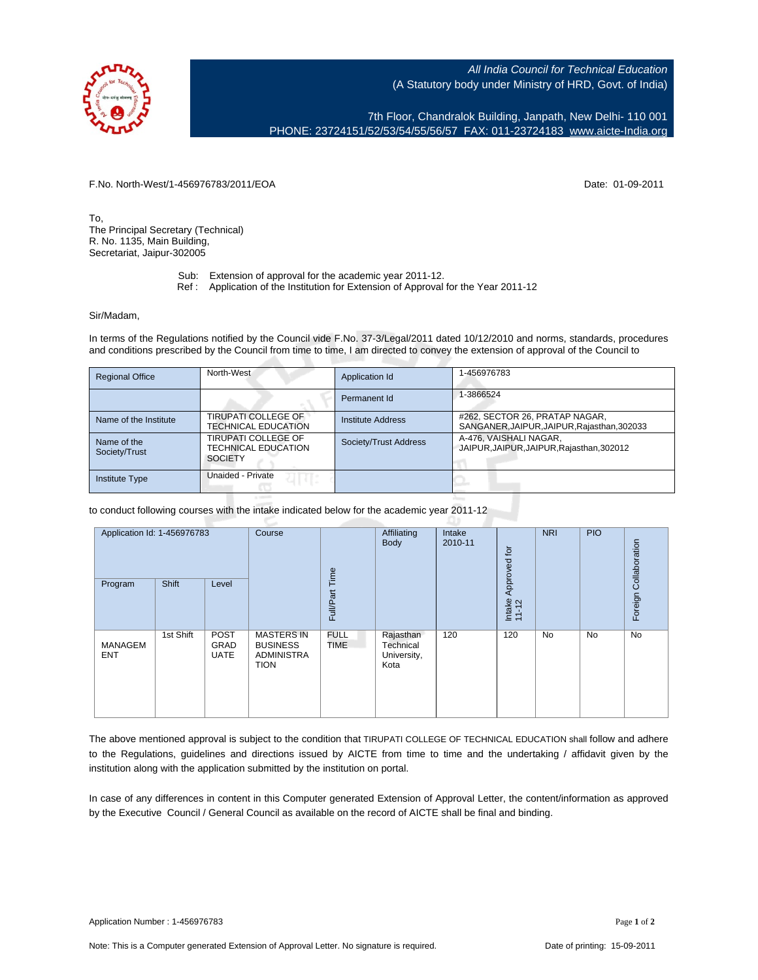

All India Council for Technical Education (A Statutory body under Ministry of HRD, Govt. of India)

7th Floor, Chandralok Building, Janpath, New Delhi- 110 001 PHONE: 23724151/52/53/54/55/56/57 FAX: 011-23724183 [www.aicte-India.org](http://www.aicte-India.org)

F.No. North-West/1-456976783/2011/EOA Date: 01-09-2011

To, The Principal Secretary (Technical) R. No. 1135, Main Building, Secretariat, Jaipur-302005

- Sub: Extension of approval for the academic year 2011-12.
- Ref : Application of the Institution for Extension of Approval for the Year 2011-12

## Sir/Madam,

In terms of the Regulations notified by the Council vide F.No. 37-3/Legal/2011 dated 10/12/2010 and norms, standards, procedures and conditions prescribed by the Council from time to time, I am directed to convey the extension of approval of the Council to

| <b>Regional Office</b>       | North-West                                                   | Application Id        | 1-456976783                                                                   |
|------------------------------|--------------------------------------------------------------|-----------------------|-------------------------------------------------------------------------------|
|                              |                                                              | Permanent Id          | 1-3866524                                                                     |
| Name of the Institute        | TIRUPATI COLLEGE OF<br>TECHNICAL EDUCATION                   | Institute Address     | #262, SECTOR 26, PRATAP NAGAR,<br>SANGANER, JAIPUR, JAIPUR, Rajasthan, 302033 |
| Name of the<br>Society/Trust | TIRUPATI COLLEGE OF<br>TECHNICAL EDUCATION<br><b>SOCIETY</b> | Society/Trust Address | A-476, VAISHALI NAGAR,<br>JAIPUR, JAIPUR, JAIPUR, Rajasthan, 302012           |
| <b>Institute Type</b>        | <b>Unaided - Private</b>                                     |                       |                                                                               |

to conduct following courses with the intake indicated below for the academic year 2011-12

| Application Id: 1-456976783 |           | Course                             | Time                                                                     | Affiliating<br>Body        | Intake<br>2010-11                             | Approved for | <b>NRI</b>      | <b>PIO</b> |    |                       |
|-----------------------------|-----------|------------------------------------|--------------------------------------------------------------------------|----------------------------|-----------------------------------------------|--------------|-----------------|------------|----|-----------------------|
| Program                     | Shift     | Level                              |                                                                          | Full/Part                  |                                               |              | Intake<br>11-12 |            |    | Foreign Collaboration |
| MANAGEM<br><b>ENT</b>       | 1st Shift | <b>POST</b><br>GRAD<br><b>UATE</b> | <b>MASTERS IN</b><br><b>BUSINESS</b><br><b>ADMINISTRA</b><br><b>TION</b> | <b>FULL</b><br><b>TIME</b> | Rajasthan<br>Technical<br>University,<br>Kota | 120          | 120             | <b>No</b>  | No | No                    |

The above mentioned approval is subject to the condition that TIRUPATI COLLEGE OF TECHNICAL EDUCATION shall follow and adhere to the Regulations, guidelines and directions issued by AICTE from time to time and the undertaking / affidavit given by the institution along with the application submitted by the institution on portal.

In case of any differences in content in this Computer generated Extension of Approval Letter, the content/information as approved by the Executive Council / General Council as available on the record of AICTE shall be final and binding.